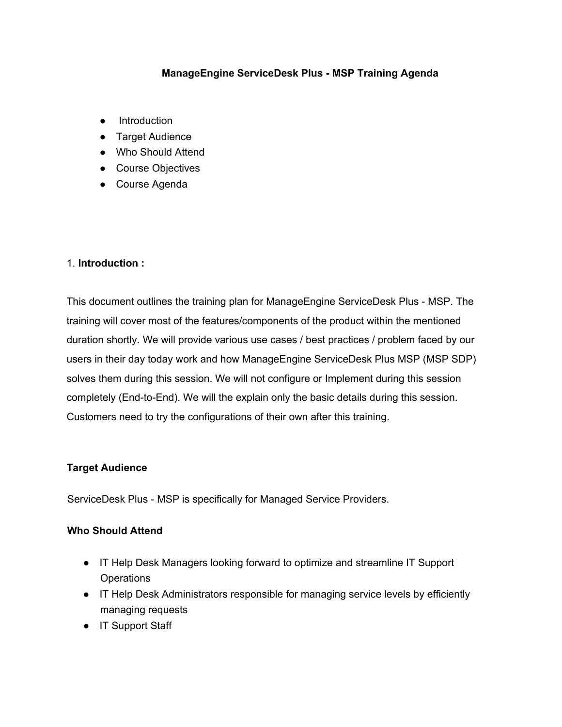### **ManageEngine ServiceDesk Plus - MSP Training Agenda**

- Introduction
- Target Audience
- Who Should Attend
- Course Objectives
- Course Agenda

#### 1. **Introduction :**

This document outlines the training plan for ManageEngine ServiceDesk Plus - MSP. The training will cover most of the features/components of the product within the mentioned duration shortly. We will provide various use cases / best practices / problem faced by our users in their day today work and how ManageEngine ServiceDesk Plus MSP (MSP SDP) solves them during this session. We will not configure or Implement during this session completely (End-to-End). We will the explain only the basic details during this session. Customers need to try the configurations of their own after this training.

#### **Target Audience**

ServiceDesk Plus - MSP is specifically for Managed Service Providers.

#### **Who Should Attend**

- IT Help Desk Managers looking forward to optimize and streamline IT Support **Operations**
- IT Help Desk Administrators responsible for managing service levels by efficiently managing requests
- IT Support Staff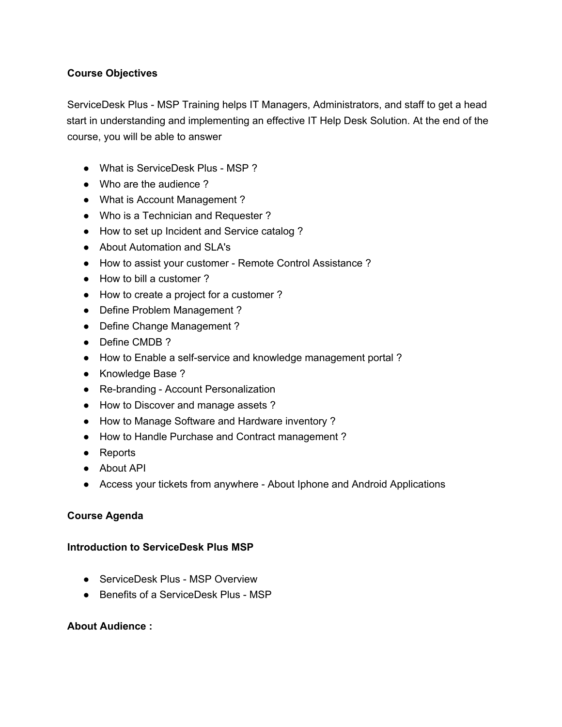## **Course Objectives**

ServiceDesk Plus - MSP Training helps IT Managers, Administrators, and staff to get a head start in understanding and implementing an effective IT Help Desk Solution. At the end of the course, you will be able to answer

- What is ServiceDesk Plus MSP ?
- Who are the audience?
- What is Account Management?
- Who is a Technician and Requester?
- How to set up Incident and Service catalog ?
- About Automation and SLA's
- How to assist your customer Remote Control Assistance ?
- How to bill a customer ?
- How to create a project for a customer?
- Define Problem Management ?
- Define Change Management ?
- Define CMDB ?
- How to Enable a self-service and knowledge management portal ?
- Knowledge Base ?
- Re-branding Account Personalization
- How to Discover and manage assets ?
- How to Manage Software and Hardware inventory?
- How to Handle Purchase and Contract management ?
- Reports
- About API
- Access your tickets from anywhere About Iphone and Android Applications

### **Course Agenda**

### **Introduction to ServiceDesk Plus MSP**

- ServiceDesk Plus MSP Overview
- Benefits of a ServiceDesk Plus MSP

### **About Audience :**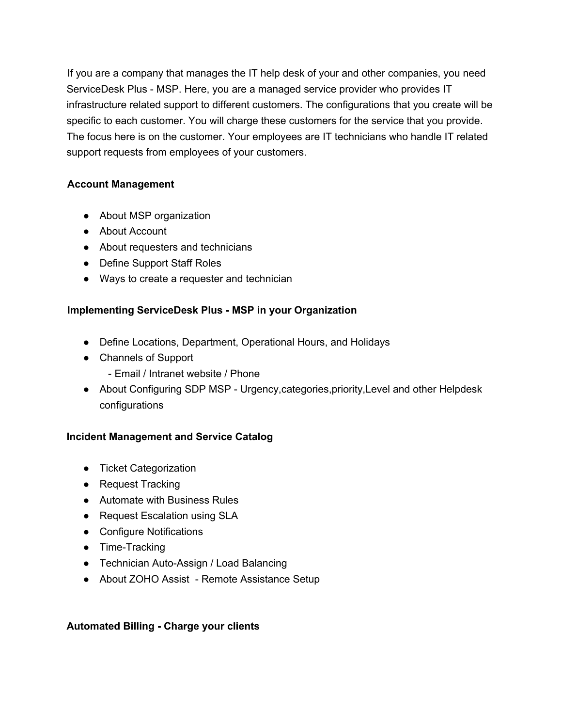If you are a company that manages the IT help desk of your and other companies, you need ServiceDesk Plus - MSP. Here, you are a managed service provider who provides IT infrastructure related support to different customers. The configurations that you create will be specific to each customer. You will charge these customers for the service that you provide. The focus here is on the customer. Your employees are IT technicians who handle IT related support requests from employees of your customers.

### **Account Management**

- About MSP organization
- About Account
- About requesters and technicians
- Define Support Staff Roles
- Ways to create a requester and technician

# **Implementing ServiceDesk Plus - MSP in your Organization**

- Define Locations, Department, Operational Hours, and Holidays
- Channels of Support
	- Email / Intranet website / Phone
- About Configuring SDP MSP Urgency, categories, priority, Level and other Helpdesk configurations

# **Incident Management and Service Catalog**

- Ticket Categorization
- Request Tracking
- Automate with Business Rules
- Request Escalation using SLA
- Configure Notifications
- Time-Tracking
- Technician Auto-Assign / Load Balancing
- About ZOHO Assist Remote Assistance Setup

### **Automated Billing - Charge your clients**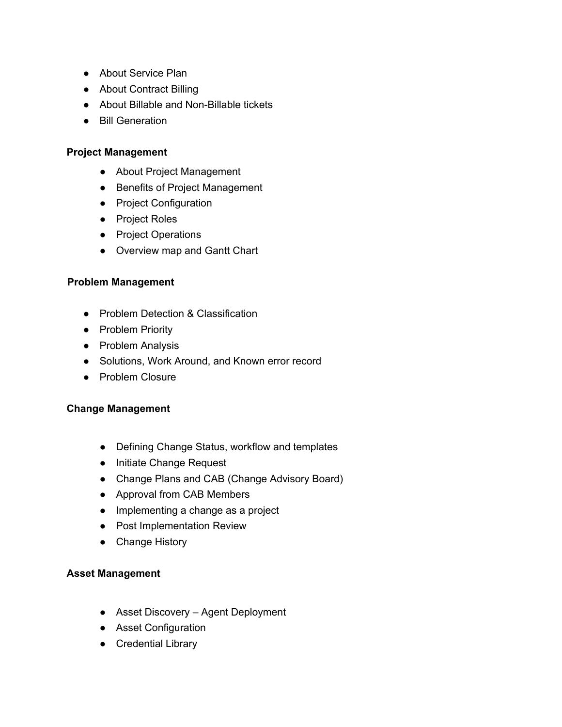- About Service Plan
- About Contract Billing
- About Billable and Non-Billable tickets
- Bill Generation

#### **Project Management**

- About Project Management
- Benefits of Project Management
- Project Configuration
- Project Roles
- Project Operations
- Overview map and Gantt Chart

#### **Problem Management**

- Problem Detection & Classification
- Problem Priority
- Problem Analysis
- Solutions, Work Around, and Known error record
- Problem Closure

#### **Change Management**

- Defining Change Status, workflow and templates
- Initiate Change Request
- Change Plans and CAB (Change Advisory Board)
- Approval from CAB Members
- Implementing a change as a project
- Post Implementation Review
- Change History

#### **Asset Management**

- Asset Discovery Agent Deployment
- Asset Configuration
- Credential Library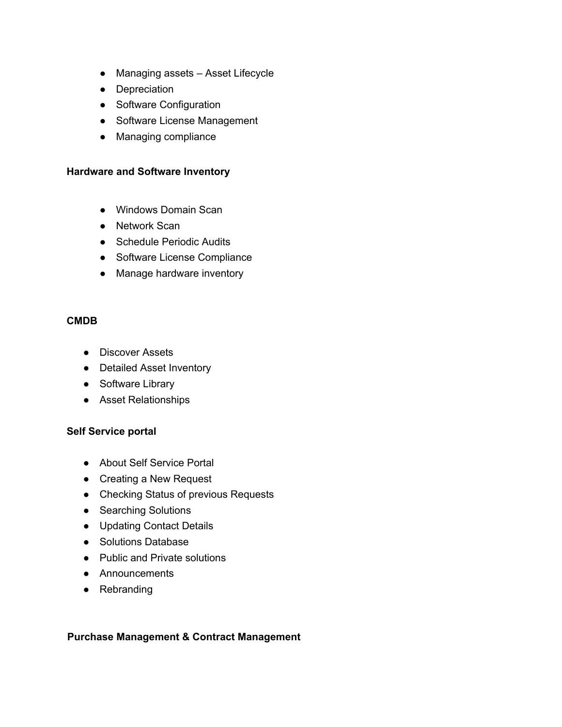- Managing assets Asset Lifecycle
- Depreciation
- Software Configuration
- Software License Management
- Managing compliance

#### **Hardware and Software Inventory**

- Windows Domain Scan
- Network Scan
- Schedule Periodic Audits
- Software License Compliance
- Manage hardware inventory

#### **CMDB**

- Discover Assets
- Detailed Asset Inventory
- Software Library
- Asset Relationships

#### **Self Service portal**

- **●** About Self Service Portal
- Creating a New Request
- Checking Status of previous Requests
- Searching Solutions
- **●** Updating Contact Details
- **●** Solutions Database
- **●** Public and Private solutions
- **●** Announcements
- **●** Rebranding

#### **Purchase Management & Contract Management**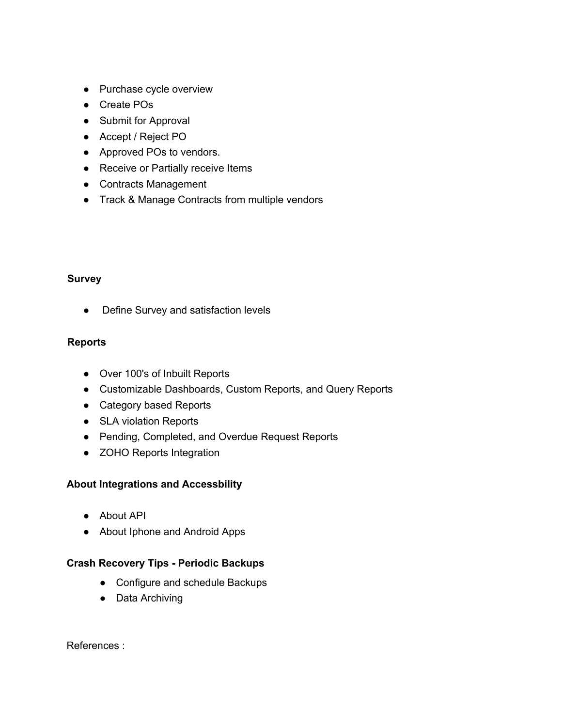- Purchase cycle overview
- Create POs
- Submit for Approval
- Accept / Reject PO
- Approved POs to vendors.
- Receive or Partially receive Items
- Contracts Management
- Track & Manage Contracts from multiple vendors

### **Survey**

● Define Survey and satisfaction levels

## **Reports**

- Over 100's of Inbuilt Reports
- Customizable Dashboards, Custom Reports, and Query Reports
- Category based Reports
- SLA violation Reports
- Pending, Completed, and Overdue Request Reports
- ZOHO Reports Integration

### **About Integrations and Accessbility**

- About API
- About Iphone and Android Apps

### **Crash Recovery Tips - Periodic Backups**

- Configure and schedule Backups
- Data Archiving

References :